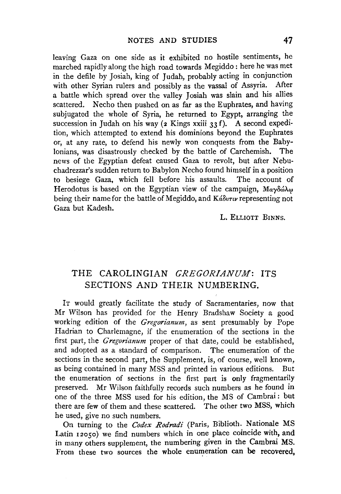leaving Gaza on one side as it exhibited no hostile sentiments, he marched rapidly along the high road towards Megiddo : here he was met in the defile by Josiah, king of Judah, probably acting in conjunction with other Syrian rulers and possibly as the vassal of Assyria. After a battle which spread over the valley Josiah was slain and his allies scattered. Necho then pushed on as far as the Euphrates, and having subjugated the whole of Syria, he returned to Egypt, arranging the succession in Judah on his way ( $\alpha$  Kings xxiii 33 f). A second expedition, which attempted to extend his dominions beyond the Euphrates or, at any rate, to defend his newly won conquests from the Babylonians, was disastrously checked by the battle of Carchemish. The news of the Egyptian defeat caused Gaza to revolt, but after Nebuchadrezzar's sudden return to Babylon Necho found himself in a position to besiege Gaza, which fell before his assaults. The account of Herodotus is based on the Egyptian view of the campaign, Μαγδώλω being their name for the battle of Megiddo, and *Kábvru* representing not Gaza but Kadesh.

### L. ELLIOTT BINNS.

## THE CAROLINGIAN *GREGORJANUM:* ITS SECTIONS AND THEIR NUMBERING.

IT would greatly facilitate the study of Sacramentaries, now that Mr Wilson has provided for the Henry Bradshaw Society a good working edition of the *Gregorianum,* as sent presumably by Pope Hadrian to Charlemagne, if the enumeration of the sections in the first part, the *Gregorianum* proper of that date, could be established, and adopted as a standard of comparison. The enumeration of the sections in the second part, the Supplement, is, of course, well known, as being contained in many MSS and printed in various editions. But the enumeration of sections in the first part is only fragmentarily preserved. Mr Wilson faithfully records such numbers as he found in one of the three MSS used for his edition, the MS of Cambrai: but there are few of them and these scattered. The other two MSS, which he used, give no such numbers.

On turning to the *Codex Rodradi* (Paris, Biblioth. Nationale MS Latin 12050) we find numbers which in one place coincide with, and in many others supplement, the numbering given in the Cambrai MS. From these two sources the whole enumeration can be recovered.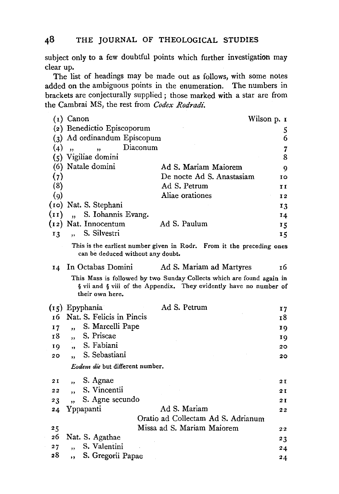subject only to a few doubtful points which further investigation may clear up.

The list of headings may be made out as follows, with some notes added on the ambiguous points in the enumeration. The numbers in brackets are conjecturally supplied; those marked with a star are from the Cambrai MS, the rest from *Codex Rodradi.* 

|                                 | Wilson p. 1<br>(1) Canon                       |                                                                                                                                             |                |
|---------------------------------|------------------------------------------------|---------------------------------------------------------------------------------------------------------------------------------------------|----------------|
|                                 | (2) Benedictio Episcoporum                     |                                                                                                                                             |                |
|                                 | (3) Ad ordinandum Episcopum                    |                                                                                                                                             | 5<br>6         |
| (4)                             | Diaconum<br>,,<br>,                            |                                                                                                                                             | 7              |
|                                 | (5) Vigiliae domini                            |                                                                                                                                             | 8              |
| (6)                             | Natale domini                                  | Ad S. Mariam Maiorem                                                                                                                        | 9              |
| (7)                             |                                                | De nocte Ad S. Anastasiam                                                                                                                   | 10             |
| (8)                             |                                                | Ad S. Petrum                                                                                                                                | 11             |
| $\left( 9\right)$               |                                                | Aliae orationes                                                                                                                             | I <sub>2</sub> |
|                                 | (10) Nat. S. Stephani                          |                                                                                                                                             | 13             |
| (11)                            | S. Iohannis Evang.<br>$\overline{\phantom{a}}$ |                                                                                                                                             | 14             |
|                                 | $(i2)$ Nat. Innocentum                         | Ad S. Paulum                                                                                                                                | 15             |
| 13                              | S. Silvestri<br>$\ddot{\phantom{0}}$           |                                                                                                                                             | 15             |
|                                 | can be deduced without any doubt.              | This is the earliest number given in Rodr. From it the preceding ones                                                                       |                |
| 14                              | In Octabas Domini                              | Ad S. Mariam ad Martyres                                                                                                                    | 16             |
|                                 | their own here.                                | This Mass is followed by two Sunday Collects which are found again in<br>§ vii and § viii of the Appendix. They evidently have no number of |                |
|                                 | (15) Epyphania                                 | Ad S. Petrum                                                                                                                                | 17             |
| 16                              | Nat. S. Felicis in Pincis                      |                                                                                                                                             | 18             |
| 17                              | S. Marcelli Pape<br>$\overline{\mathbf{z}}$    |                                                                                                                                             | 19             |
| 18                              | S. Priscae<br>,                                |                                                                                                                                             | 19             |
| 19                              | S. Fabiani<br>,                                |                                                                                                                                             | 20             |
| 20                              | S. Sebastiani<br>٠,                            |                                                                                                                                             | 20             |
| Eodem die but different number. |                                                |                                                                                                                                             |                |
| 2 I                             | S. Agnae<br>$\overline{\mathbf{z}}$            |                                                                                                                                             | 2 I            |
| 22                              | S. Vincentii<br>,                              |                                                                                                                                             | 2 I            |
| 23                              | S. Agne secundo<br>,,                          |                                                                                                                                             | 2 I            |
| 24                              | Yppapanti                                      | Ad S. Mariam                                                                                                                                | 22             |
|                                 |                                                | Oratio ad Collectam Ad S. Adrianum                                                                                                          |                |
| 25                              |                                                | Missa ad S. Mariam Maiorem                                                                                                                  | 22             |
| 26                              | Nat. S. Agathae                                |                                                                                                                                             | 23             |
| 2.7                             | S. Valentini<br>,,                             |                                                                                                                                             | 24             |
| 28                              | S. Gregorii Papae<br>$, \,$                    |                                                                                                                                             | 24             |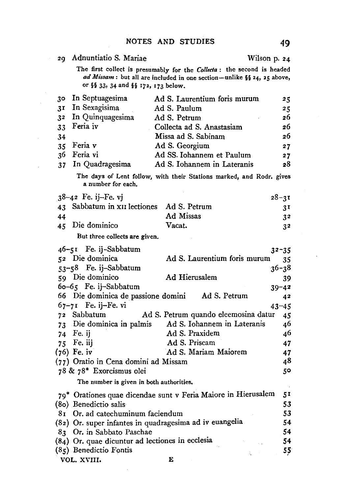|                | 29 Adnuntiatio S. Mariae                                    |                                                                         | Wilson p. 24    |
|----------------|-------------------------------------------------------------|-------------------------------------------------------------------------|-----------------|
|                |                                                             | The first collect is presumably for the Collecta: the second is headed  |                 |
|                |                                                             | ad Missam : but all are included in one section-unlike §§ 24, 25 above, |                 |
|                | or §§ 33, 34 and §§ 172, 173 below.                         |                                                                         |                 |
| 30             | In Septuagesima                                             | Ad S. Laurentium foris murum                                            | 25              |
| 3 <sup>T</sup> | In Sexagisima                                               | Ad S. Paulum                                                            | 25              |
| 3 <sup>2</sup> | In Quinquagesima                                            | Ad S. Petrum                                                            | 26              |
| 33             | Feria iv                                                    | Collecta ad S. Anastasiam                                               | 26              |
| 34             |                                                             | Missa ad S. Sabinam                                                     | 26              |
| 35             | Feria v                                                     | Ad S. Georgium                                                          | 27              |
| 36             | Feria vi                                                    | Ad SS. Iohannem et Paulum                                               | 27              |
| 37             | In Quadragesima                                             | Ad S. Iohannem in Lateranis                                             | 28              |
|                | a number for each.                                          | The days of Lent follow, with their Stations marked, and Rodr. gives    |                 |
|                | $38-42$ Fe. ij-Fe. vj                                       |                                                                         | $28 - 31$       |
| 43             | Sabbatum in x <sub>II</sub> lectiones                       | Ad S. Petrum                                                            | 3 <sup>T</sup>  |
| 44             |                                                             | Ad Missas                                                               | 3 <sup>2</sup>  |
| 45             | Die dominico                                                | Vacat.                                                                  | 32              |
|                | But three collects are given.                               |                                                                         |                 |
|                |                                                             |                                                                         |                 |
|                | 46-51 Fe. ij-Sabbatum                                       |                                                                         | $32 - 35$       |
|                | 52 Die dominica                                             | Ad S. Laurentium foris murum                                            | 35              |
|                | 53-58 Fe. ij-Sabbatum                                       |                                                                         | $36 - 38$       |
|                | 59 Die dominico                                             | Ad Hierusalem                                                           | 39              |
|                | 60-65 Fe. ij-Sabbatum<br>66 Die dominica de passione domini | Ad S. Petrum                                                            | $39 - 42$       |
|                | $67 - 71$ Fe. ij-Fe. vi                                     |                                                                         | 42              |
|                | 72 Sabbatum                                                 | Ad S. Petrum quando eleemosina datur                                    | $43 - 45$<br>45 |
| $73 -$         | Die dominica in palmis                                      | Ad S. Iohannem in Lateranis                                             | 46              |
|                | 74 Fe. ij                                                   | Ad S. Praxidem                                                          | 46              |
|                | 75 Fe. iij                                                  | Ad S. Priscam                                                           | 47              |
|                | $(76)$ Fe. iv                                               | Ad S. Mariam Maiorem                                                    | 47              |
|                | (77) Oratio in Cena domini ad Missam                        |                                                                         | 48              |
|                | 78 & 78* Exorcismus olei                                    |                                                                         | 50              |
|                | The number is given in both authorities.                    |                                                                         |                 |
|                |                                                             | 79* Orationes quae dicendae sunt v Feria Maiore in Hierusalem           | 5 <sub>I</sub>  |
|                | (80) Benedictio salis                                       |                                                                         | 53              |
| 81             | Or, ad catechuminum faciendum                               |                                                                         | 53              |
|                |                                                             | (82) Or. super infantes in quadragesima ad iv euangelia                 | 54              |
|                | 83 Or. in Sabbato Paschae                                   |                                                                         | 54              |
|                | (84) Or. quae dicuntur ad lectiones in ecclesia             |                                                                         | 54              |
|                | (85) Benedictio Fontis                                      |                                                                         | 55 <sub>1</sub> |

VOL. XVIII. E

 $\bar{\gamma}$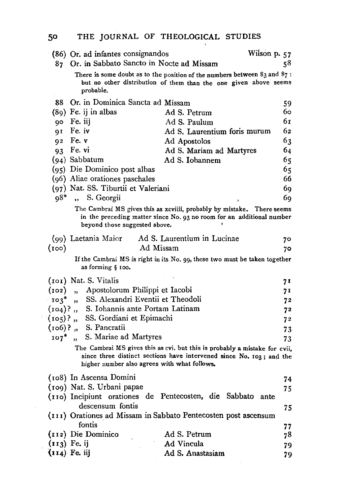# 50 THE JOURNAL OF THEOLOGICAL STUDIES

| (86) Or. ad infantes consignandos                                      | Wilson p. 57                                                                                                                                       |     |
|------------------------------------------------------------------------|----------------------------------------------------------------------------------------------------------------------------------------------------|-----|
| 87 Or. in Sabbato Sancto in Nocte ad Missam                            |                                                                                                                                                    | 58  |
| probable.                                                              | There is some doubt as to the position of the numbers between $83$ and $87$ :<br>but no other distribution of them than the one given above seems  |     |
| 88 Or. in Dominica Sancta ad Missam                                    |                                                                                                                                                    | 59  |
| (89) Fe. ij in albas                                                   | Ad S. Petrum                                                                                                                                       | 60. |
| 90 Fe. iij                                                             | Ad S. Paulum                                                                                                                                       | 6г  |
| 91 Fe. iv                                                              | Ad S. Laurentium foris murum                                                                                                                       | 62  |
| 92 Fe. v                                                               | Ad Apostolos                                                                                                                                       | 63  |
| 93 Fe. vi                                                              | Ad S. Mariam ad Martyres                                                                                                                           | 64  |
| $(94)$ Sabbatum                                                        | Ad S. Iohannem                                                                                                                                     | 65  |
| (95) Die Dominico post albas                                           |                                                                                                                                                    | 65  |
| (96) Aliae orationes paschales                                         |                                                                                                                                                    | 66  |
| (97) Nat. SS. Tiburtii et Valeriani                                    |                                                                                                                                                    | 69  |
| 98*<br>S. Georgii<br>$\ddot{\phantom{a}}$                              |                                                                                                                                                    | 69  |
| beyond those suggested above.                                          | The Cambrai MS gives this as xcviiii, probably by mistake. There seems<br>in the preceding matter since No. 93 no room for an additional number    |     |
| (99) Laetania Maior                                                    | Ad S. Laurentium in Lucinae                                                                                                                        | 70  |
| (100)                                                                  | Ad Missam                                                                                                                                          | 70  |
| as forming § 100.                                                      | If the Cambrai MS is right in its No. 99, these two must be taken together                                                                         |     |
| (101) Nat. S. Vitalis                                                  |                                                                                                                                                    | 71  |
| " Apostolorum Philippi et Iacobi<br>(102)                              |                                                                                                                                                    | 71  |
| SS. Alexandri Eventii et Theodoli<br>$103*$<br>$\overline{\mathbf{B}}$ |                                                                                                                                                    | 72  |
| (104)? " S. Iohannis ante Portam Latinam                               |                                                                                                                                                    | 72  |
| SS. Gordiani et Epimachi<br>$(105)$ ?,                                 |                                                                                                                                                    | 72  |
| (106)? " S. Pancratii                                                  |                                                                                                                                                    | 73  |
| S. Mariae ad Martyres<br>$107*$<br>$\mathbf{r}$                        |                                                                                                                                                    | 73  |
| higher number also agrees with what follows.                           | The Cambrai MS gives this as cvi. but this is probably a mistake for cvii,<br>since three distinct sections have intervened since No. 103; and the |     |
| (108) In Ascensa Domini                                                |                                                                                                                                                    | 74  |
| (109) Nat. S. Urbani papae                                             |                                                                                                                                                    | 75  |
| (110) Incipiunt orationes de Pentecosten, die Sabbato                  | ante                                                                                                                                               |     |
| descensum fontis                                                       |                                                                                                                                                    | 75  |
|                                                                        | (111) Orationes ad Missam in Sabbato Pentecosten post ascensum                                                                                     |     |
| fontis                                                                 |                                                                                                                                                    | 77  |
| (112) Die Dominico                                                     | Ad S. Petrum                                                                                                                                       | 78  |
| $(113)$ Fe. ij                                                         | Ad Vincula                                                                                                                                         | 79  |
| $(114)$ Fe. iij                                                        | Ad S. Anastasiam                                                                                                                                   | 79  |

 $\mathcal{A}$ 

 $\bar{z}$ 

 $\bar{\phantom{a}}$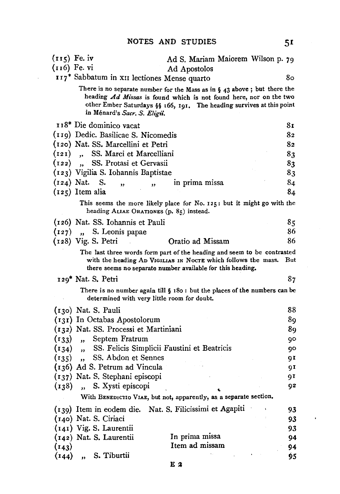| $(r15)$ Fe. iv |                                                         | Ad S. Mariam Maiorem Wilson p. 79                                                                                                                                                                                          |     |
|----------------|---------------------------------------------------------|----------------------------------------------------------------------------------------------------------------------------------------------------------------------------------------------------------------------------|-----|
| (116) Fe. vi   |                                                         | Ad Apostolos                                                                                                                                                                                                               |     |
|                | 117* Sabbatum in XII lectiones Mense quarto             |                                                                                                                                                                                                                            | 80  |
|                | in Ménard's Sacr. S. Eligii.                            | There is no separate number for the Mass as in $\S$ 43 above; but there the<br>heading Ad Missas is found which is not found here, nor on the two<br>other Ember Saturdays §§ 166, 191. The heading survives at this point |     |
|                | 118* Die dominico vacat                                 |                                                                                                                                                                                                                            | 81  |
|                | (119) Dedic. Basilicae S. Nicomedis                     |                                                                                                                                                                                                                            | 82  |
|                | (120) Nat. SS. Marcellini et Petri                      |                                                                                                                                                                                                                            | 82  |
|                | (121) "SS. Marci et Marcelliani                         |                                                                                                                                                                                                                            | 83  |
|                | (122), SS. Protasi et Gervasii                          |                                                                                                                                                                                                                            | 83  |
|                | (123) Vigilia S. Iohannis Baptistae                     |                                                                                                                                                                                                                            | 83  |
| $(124)$ Nat.   | <b>S.</b><br>$\overline{\mathbf{z}}$<br>,,              | in prima missa                                                                                                                                                                                                             | 84  |
|                | $(125)$ Item alia                                       |                                                                                                                                                                                                                            | 84  |
|                | heading ALIAE ORATIONES (p. 85) instead.                | This seems the more likely place for No. 125: but it might go with the                                                                                                                                                     |     |
|                | (126) Nat. SS. Iohannis et Pauli                        |                                                                                                                                                                                                                            | 85  |
|                | $(127)$ , S. Leonis papae                               |                                                                                                                                                                                                                            | 86  |
|                | (128) Vig. S. Petri                                     | Oratio ad Missam                                                                                                                                                                                                           | 86  |
|                |                                                         | The last three words form part of the heading and seem to be contrasted<br>with the heading AD VIGILIAS IN NOCTE which follows the mass.<br>there seems no separate number available for this heading.                     | But |
|                | 129* Nat. S. Petri                                      |                                                                                                                                                                                                                            | 87  |
|                | determined with very little room for doubt.             | There is no number again till $\S$ 180 : but the places of the numbers can be                                                                                                                                              |     |
|                | (130) Nat. S. Pauli                                     |                                                                                                                                                                                                                            | 88  |
|                | (131) In Octabas Apostolorum                            |                                                                                                                                                                                                                            | 89  |
|                | (132) Nat. SS. Processi et Martiniani                   |                                                                                                                                                                                                                            | 89  |
|                | $(133)$ , Septem Fratrum                                |                                                                                                                                                                                                                            | 90  |
|                | (134), SS. Felicis Simplicii Faustini et Beatricis      |                                                                                                                                                                                                                            | 90  |
| (135)          | SS. Abdon et Sennes<br>$\rightarrow$                    |                                                                                                                                                                                                                            | gτ  |
|                | (136) Ad S. Petrum ad Vincula                           |                                                                                                                                                                                                                            | 91  |
|                | (137) Nat. S. Stephani episcopi                         |                                                                                                                                                                                                                            | 91  |
| (138)          | S. Xysti episcopi<br>$\ddot{\phantom{a}}$               |                                                                                                                                                                                                                            | 92  |
|                |                                                         | With BENEDICTIO VIAE, but not, apparently, as a separate section.                                                                                                                                                          |     |
|                | (139) Item in eodem die. Nat. S. Filicissimi et Agapiti |                                                                                                                                                                                                                            | 93  |
|                | (140) Nat. S. Ciriaci                                   |                                                                                                                                                                                                                            | 93  |
|                | (141) Vig. S. Laurentii                                 |                                                                                                                                                                                                                            | 93  |
|                | (142) Nat. S. Laurentii                                 | In prima missa                                                                                                                                                                                                             | 94  |
| (143)<br>(144) | S. Tiburtii                                             | Item ad missam                                                                                                                                                                                                             | 94  |
|                |                                                         |                                                                                                                                                                                                                            | 95  |

 $\mathcal{A}$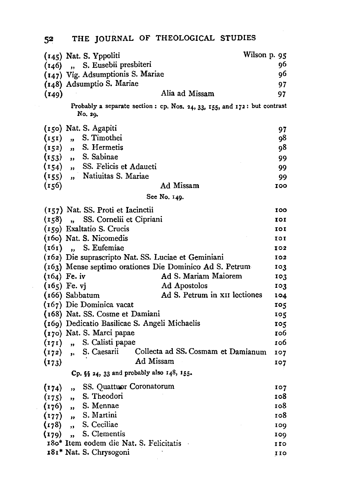|           | (145) Nat. S. Yppoliti                                                              | Wilson p. 95 |
|-----------|-------------------------------------------------------------------------------------|--------------|
|           | (146) "S. Eusebii presbiteri                                                        | 96           |
|           | (147) Vig. Adsumptionis S. Mariae                                                   | 96           |
|           | (148) Adsumptio S. Mariae                                                           | 97           |
| (149)     | Alia ad Missam                                                                      | 97           |
|           | Probably a separate section: cp. Nos. 24, 33, 155, and 172: but contrast<br>No. 29. |              |
|           | (150) Nat. S. Agapiti                                                               | 97           |
| (151)     | S. Timothei<br>$\mathbf{u}$                                                         | 98           |
| $(152)$ " | S. Hermetis                                                                         | 98           |
|           | $(r_{53})$ , S. Sabinae                                                             | 99           |
| (154)     | " SS. Felicis et Adaucti                                                            | 99           |
| (155)     | " Natiuitas S. Mariae                                                               | 99.          |
| (156)     | Ad Missam                                                                           | 100          |
|           | See No. 149.                                                                        |              |
|           | (157) Nat. SS. Proti et Iacinctii                                                   | 100          |
|           | (158) "SS. Cornelii et Cipriani                                                     | 101          |
|           | (159) Exaltatio S. Crucis                                                           | IOI          |
|           | (160) Nat. S. Nicomedis                                                             | 101          |
| (161)     | S. Eufemiae<br>$\ddot{\phantom{a}}$                                                 | 102          |
|           | (162) Die suprascripto Nat. SS. Luciae et Geminiani                                 | 102          |
|           | (163) Mense septimo orationes Die Dominico Ad S. Petrum                             | 103          |
|           | $(164)$ Fe. iv<br>Ad S. Mariam Maiorem                                              | 103          |
|           | $(165)$ Fe. vj<br>Ad Apostolos                                                      | 103          |
|           | Ad S. Petrum in XII lectiones<br>(166) Sabbatum                                     | 104          |
|           | (167) Die Dominica vacat                                                            | 105          |
|           | (168) Nat. SS. Cosme et Damiani                                                     | 105          |
|           | (169) Dedicatio Basilicae S. Angeli Michaelis                                       | 105          |
|           | (170) Nat. S. Marci papae                                                           | 106          |
| $(171)$ , | S. Calisti papae                                                                    | 106.         |
| (172)     | Collecta ad SS. Cosmam et Damianum<br>S. Caesarii<br>$\mathbf{r}$                   | 107          |
| (173)     | Ad Missam                                                                           | 107          |
|           | Cp. §§ 24, 33 and probably also 148, 155.                                           |              |
| (174)     | SS. Quattuor Coronatorum<br>,,                                                      | 107          |
| (175)     | S. Theodori<br>$\bullet$                                                            | 108.         |
| (176)     | S. Mennae<br>$\bullet$                                                              | 108.         |
| (177)     | S. Martini<br>o i                                                                   | 108          |
| (178)     | S. Ceciliae<br>$\mathbf{a}$                                                         | 109          |
| (179)     | S. Clementis<br>$\overline{\mathbf{B}}$                                             | 109.         |
|           | 180* Item eodem die Nat. S. Felicitatis                                             | 110          |
|           | 181* Nat. S. Chrysogoni                                                             | 110          |

 $\sim$   $\sim$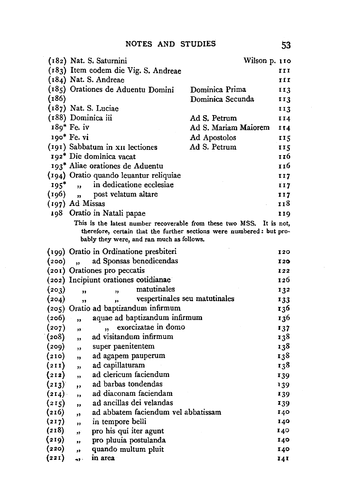|        |                         | (182) Nat. S. Saturnini                                              | Wilson p. 110        |            |
|--------|-------------------------|----------------------------------------------------------------------|----------------------|------------|
|        |                         | (183) Item eodem die Vig. S. Andreae                                 |                      | III        |
|        |                         | (184) Nat. S. Andreae                                                |                      | III        |
|        |                         | (185) Orationes de Aduentu Domini                                    | Dominica Prima       | 113        |
| (186)  |                         |                                                                      | Dominica Secunda     | 113        |
|        |                         | $(187)$ Nat. S. Luciae                                               |                      | 113        |
|        | (188) Dominica iii      |                                                                      | Ad S. Petrum         | 114        |
|        | 189* Fe. iv             |                                                                      | Ad S. Mariam Maiorem | 114        |
|        | 190* Fe. vi             |                                                                      | Ad Apostolos         | 115        |
|        |                         | (191) Sabbatum in XII lectiones                                      | Ad S. Petrum         | 115        |
|        |                         | 192* Die dominica vacat                                              |                      | 116        |
|        |                         | 193* Aliae orationes de Aduentu                                      |                      | 116        |
|        |                         | (194) Oratio quando leuantur reliquiae                               |                      | 117        |
| $195*$ | $\overline{\mathbf{B}}$ | in dedicatione ecclesiae                                             |                      | 117        |
| (196)  | $\overline{\mathbf{B}}$ | post velatum altare                                                  |                      | 117        |
|        | (197) Ad Missas         |                                                                      |                      | 118        |
|        |                         | 198 Oratio in Natali papae                                           |                      | 119        |
|        |                         | This is the latest number recoverable from these two MSS.            |                      | It is not, |
|        |                         | therefore, certain that the further sections were numbered: but pro- |                      |            |
|        |                         | bably they were, and ran much as follows.                            |                      |            |
|        |                         | (199) Oratio in Ordinatione presbiteri                               |                      | I 2 O      |
| (200)  | $\ddot{\phantom{0}}$    | ad Sponsas benedicendas                                              |                      | I 20       |
|        |                         | (201) Orationes pro peccatis                                         |                      | I22        |
|        |                         | (202) Incipiunt orationes cotidianae                                 |                      | 126        |
| (203)  | $\overline{\mathbf{z}}$ | matutinales<br>,,                                                    |                      | 132        |
| (204)  | ,,                      | vespertinales seu matutinales<br>,,                                  |                      | 133        |
|        |                         | (205) Oratio ad baptizandum infirmum                                 |                      | 136        |
| (206)  | ,,                      | aquae ad baptizandum infirmum                                        |                      | 136        |
| (207)  | ,,                      | exorcizatae in domo<br>55                                            |                      | 137        |
| (208)  | ,,                      | ad visitandum infirmum                                               |                      | 138        |
| (209)  | ,                       | super paenitentem                                                    |                      | 138        |
| (210)  | ,,                      | ad agapem pauperum                                                   |                      | 138        |
| (211)  | ,                       | ad capillaturam                                                      |                      | 138        |
| (212)  | ,                       | ad clericum faciendum                                                |                      | 139        |
| (213)  | ,,                      | ad barbas tondendas                                                  |                      | 139        |
| (214)  | ,                       | ad diaconam faciendam                                                |                      | 139        |
| (215)  | ,,                      | ad ancillas dei velandas                                             |                      | 139        |
| (216)  | ,                       | ad abbatem faciendum vel abbatissam                                  |                      | 140        |
| (217)  | $\overline{\mathbf{r}}$ | in tempore belli                                                     |                      | 140        |
| (218)  | 55                      | pro his qui iter agunt                                               |                      | 140        |
| (219)  | ,,                      | pro pluuia postulanda                                                |                      | 140        |
| (220)  | ,                       | quando multum pluit                                                  |                      | 140        |
| (221)  | as i                    | in area                                                              |                      | 141        |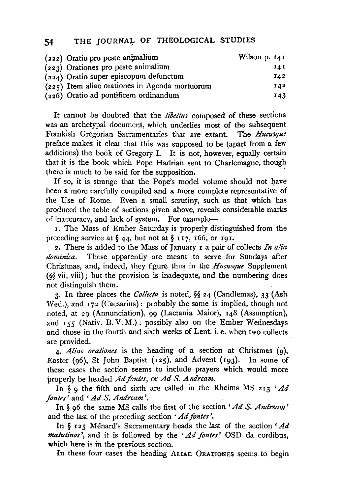### 54 THE JOURNAL OF THEOLOGICAL STUDIES

| (222) Oratio pro peste animalium      |                                                  | Wilson p. $141$ |
|---------------------------------------|--------------------------------------------------|-----------------|
| $(223)$ Orationes pro peste animalium |                                                  | 14 I            |
|                                       | (224) Oratio super episcopum defunctum           | I42             |
|                                       | $(225)$ Item aliae orationes in Agenda mortuorum | 142             |
| (226) Oratio ad pontificem ordinandum |                                                  | 143             |

It cannot be doubted that the *libel/us* composed of these sections was an archetypal document, which underlies most of the subsequent Frankish Gregorian Sacramentaries that are extant. The Hucusque Frankish Gregorian Sacramentaries that are extant. preface makes it clear that this was supposed to be (apart from a few additions) the book of Gregory I. It is not, however, equally certain that it is the book which Pope Hadrian sent to Charlemagne, though there is much to be said for the supposition.

If so, it is strange that the Pope's model volume should not have been a more carefully compiled and a more complete representative of the Use of Rome. Even a small scrutiny, such as that which has produced the table of sections given above, reveals considerable marks of inaccuracy, and lack of system. For example-

r. The Mass of Ember Saturday is properly distinguished from the preceding service at  $\S$  44, but not at  $\S$  117, 166, or 191.

2. There is added to the Mass of January I a pair of collects *In alia dominica.* These apparently are meant to serve for Sundays after Christmas, and, indeed, they figure thus in the *Hucusque* Supplement (§§ vii, viii); but the provision is inadequate, and the numbering does not distinguish them.

3· In three places the *Collecta* is noted, §§ 24 (Candlemas), 33 (Ash Wed.), and 172 (Caesarius): probably the same is implied, though not noted, at 29 (Annunciation), 99 (Laetania Maior), 148 (Assumption), and 155 (Nativ. B. V. M.): possibly also on the Ember Wednesdays and those in the fourth and sixth weeks of Lent, i. e. when two collects are provided.

4· *Aliae orationes* is the heading of a section at Christmas (g), Easter (96), St John Baptist (125), and Advent (193). In some of these cases the section seems to include prayers which would more properly be headed *Adfontes,* or *AdS. Andream.* 

In § 9 the fifth and sixth are called in the Rheims MS 213 *'Ad fontes'* and *'AdS. Andream'.* 

In § g6 the same MS calls the first of the section *'Ad S. Andream* ' and the last of the preceding section *'Ad fontes* '.

In § I 2 5 Menard's Sacramentary heads the last of the section *'Ad matutinos* ', and it is followed by the *'Ad fontes'* OSD da cordibus, which here is in the previous section.

In these four cases the heading ALIAE 0RATIONES seems. to begin